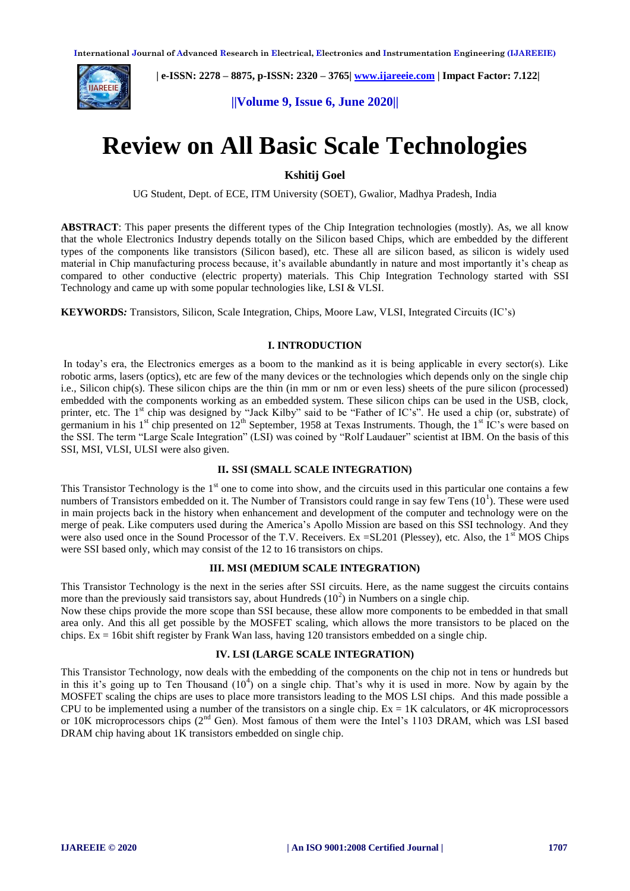

 **| e-ISSN: 2278 – 8875, p-ISSN: 2320 – 3765| [www.ijareeie.com](http://www.ijareeie.com/) | Impact Factor: 7.122|** 

**||Volume 9, Issue 6, June 2020||** 

# **Review on All Basic Scale Technologies**

**Kshitij Goel**

UG Student, Dept. of ECE, ITM University (SOET), Gwalior, Madhya Pradesh, India

**ABSTRACT**: This paper presents the different types of the Chip Integration technologies (mostly). As, we all know that the whole Electronics Industry depends totally on the Silicon based Chips, which are embedded by the different types of the components like transistors (Silicon based), etc. These all are silicon based, as silicon is widely used material in Chip manufacturing process because, it's available abundantly in nature and most importantly it's cheap as compared to other conductive (electric property) materials. This Chip Integration Technology started with SSI Technology and came up with some popular technologies like, LSI & VLSI.

**KEYWORDS***:* Transistors, Silicon, Scale Integration, Chips, Moore Law, VLSI, Integrated Circuits (IC's)

## **I. INTRODUCTION**

In today's era, the Electronics emerges as a boom to the mankind as it is being applicable in every sector(s). Like robotic arms, lasers (optics), etc are few of the many devices or the technologies which depends only on the single chip i.e., Silicon chip(s). These silicon chips are the thin (in mm or nm or even less) sheets of the pure silicon (processed) embedded with the components working as an embedded system. These silicon chips can be used in the USB, clock, printer, etc. The 1<sup>st</sup> chip was designed by "Jack Kilby" said to be "Father of IC's". He used a chip (or, substrate) of germanium in his  $1<sup>st</sup>$  chip presented on  $12<sup>th</sup>$  September, 1958 at Texas Instruments. Though, the  $1<sup>st</sup>$  IC's were based on the SSI. The term "Large Scale Integration" (LSI) was coined by "Rolf Laudauer" scientist at IBM. On the basis of this SSI, MSI, VLSI, ULSI were also given.

## **II. SSI (SMALL SCALE INTEGRATION)**

This Transistor Technology is the  $1<sup>st</sup>$  one to come into show, and the circuits used in this particular one contains a few numbers of Transistors embedded on it. The Number of Transistors could range in say few Tens  $(10<sup>1</sup>)$ . These were used in main projects back in the history when enhancement and development of the computer and technology were on the merge of peak. Like computers used during the America's Apollo Mission are based on this SSI technology. And they were also used once in the Sound Processor of the T.V. Receivers. Ex  $=$ SL201 (Plessey), etc. Also, the 1<sup>st</sup> MOS Chips were SSI based only, which may consist of the 12 to 16 transistors on chips.

#### **III. MSI (MEDIUM SCALE INTEGRATION)**

This Transistor Technology is the next in the series after SSI circuits. Here, as the name suggest the circuits contains more than the previously said transistors say, about Hundreds  $(10^2)$  in Numbers on a single chip.

Now these chips provide the more scope than SSI because, these allow more components to be embedded in that small area only. And this all get possible by the MOSFET scaling, which allows the more transistors to be placed on the chips.  $Ex = 16$ bit shift register by Frank Wan lass, having 120 transistors embedded on a single chip.

## **IV. LSI (LARGE SCALE INTEGRATION)**

This Transistor Technology, now deals with the embedding of the components on the chip not in tens or hundreds but in this it's going up to Ten Thousand  $(10<sup>4</sup>)$  on a single chip. That's why it is used in more. Now by again by the MOSFET scaling the chips are uses to place more transistors leading to the MOS LSI chips. And this made possible a CPU to be implemented using a number of the transistors on a single chip.  $Ex = 1K$  calculators, or 4K microprocessors or 10K microprocessors chips (2<sup>nd</sup> Gen). Most famous of them were the Intel's 1103 DRAM, which was LSI based DRAM chip having about 1K transistors embedded on single chip.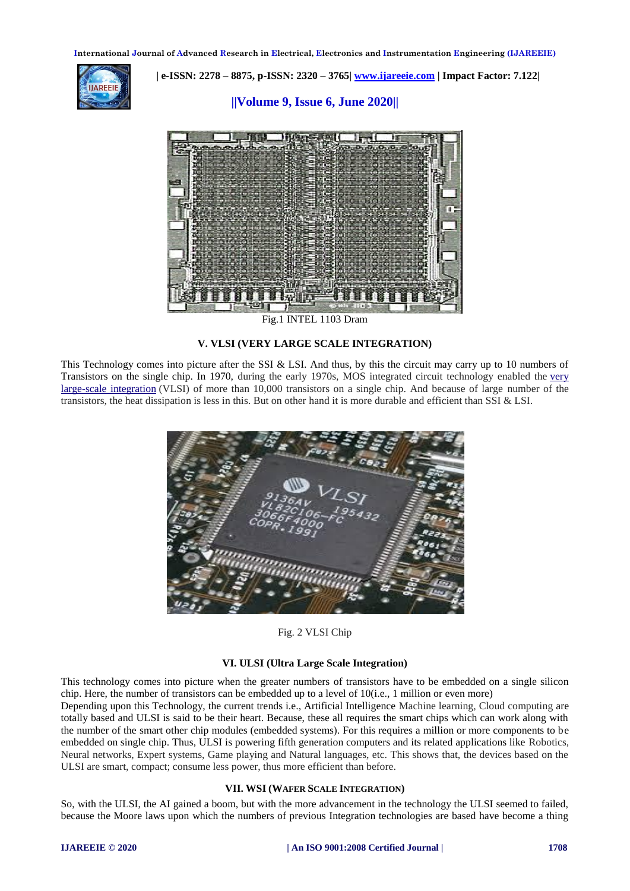**International Journal of Advanced Research in Electrical, Electronics and Instrumentation Engineering (IJAREEIE)** 



 **| e-ISSN: 2278 – 8875, p-ISSN: 2320 – 3765| [www.ijareeie.com](http://www.ijareeie.com/) | Impact Factor: 7.122|** 

# **||Volume 9, Issue 6, June 2020||**



Fig.1 INTEL 1103 Dram

#### **V. VLSI (VERY LARGE SCALE INTEGRATION)**

This Technology comes into picture after the SSI & LSI. And thus, by this the circuit may carry up to 10 numbers of Transistors on the single chip. In 1970, during the early 1970s, MOS integrated circuit technology enabled the [very](https://en.wikipedia.org/wiki/Very_large-scale_integration)  [large-scale integration](https://en.wikipedia.org/wiki/Very_large-scale_integration) (VLSI) of more than 10,000 transistors on a single chip. And because of large number of the transistors, the heat dissipation is less in this. But on other hand it is more durable and efficient than SSI & LSI.



## Fig. 2 VLSI Chip

#### **VI. ULSI (Ultra Large Scale Integration)**

This technology comes into picture when the greater numbers of transistors have to be embedded on a single silicon chip. Here, the number of transistors can be embedded up to a level of 10(i.e., 1 million or even more) Depending upon this Technology, the current trends i.e., Artificial Intelligence Machine learning, Cloud computing are totally based and ULSI is said to be their heart. Because, these all requires the smart chips which can work along with the number of the smart other chip modules (embedded systems). For this requires a million or more components to be embedded on single chip. Thus, ULSI is powering fifth generation computers and its related applications like Robotics, Neural networks, Expert systems, Game playing and Natural languages, etc. This shows that, the devices based on the ULSI are smart, compact; consume less power, thus more efficient than before.

#### **VII. WSI (WAFER SCALE INTEGRATION)**

So, with the ULSI, the AI gained a boom, but with the more advancement in the technology the ULSI seemed to failed, because the Moore laws upon which the numbers of previous Integration technologies are based have become a thing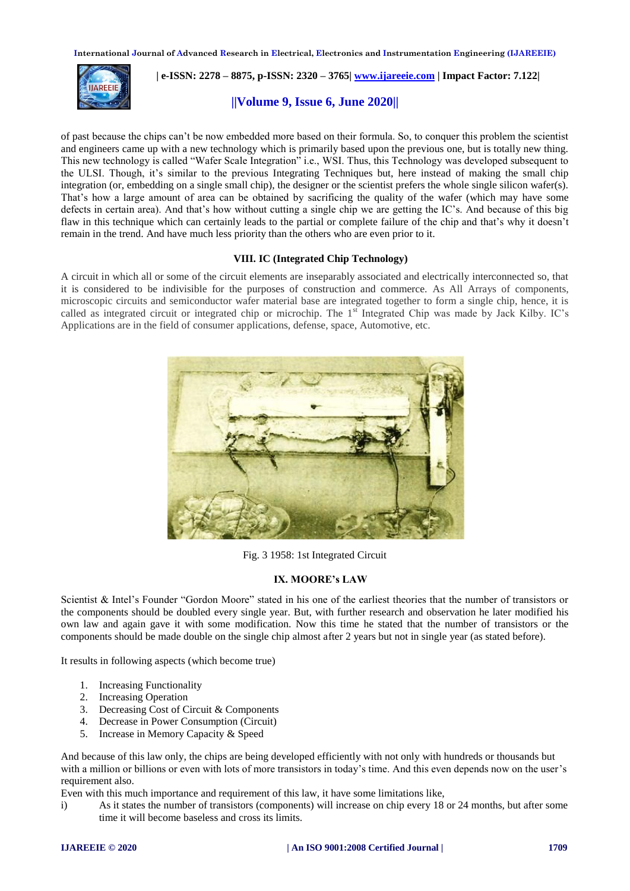**International Journal of Advanced Research in Electrical, Electronics and Instrumentation Engineering (IJAREEIE)** 



 **| e-ISSN: 2278 – 8875, p-ISSN: 2320 – 3765| [www.ijareeie.com](http://www.ijareeie.com/) | Impact Factor: 7.122|** 

# **||Volume 9, Issue 6, June 2020||**

of past because the chips can't be now embedded more based on their formula. So, to conquer this problem the scientist and engineers came up with a new technology which is primarily based upon the previous one, but is totally new thing. This new technology is called "Wafer Scale Integration" i.e., WSI. Thus, this Technology was developed subsequent to the ULSI. Though, it's similar to the previous Integrating Techniques but, here instead of making the small chip integration (or, embedding on a single small chip), the designer or the scientist prefers the whole single silicon wafer(s). That's how a large amount of area can be obtained by sacrificing the quality of the wafer (which may have some defects in certain area). And that's how without cutting a single chip we are getting the IC's. And because of this big flaw in this technique which can certainly leads to the partial or complete failure of the chip and that's why it doesn't remain in the trend. And have much less priority than the others who are even prior to it.

## **VIII. IC (Integrated Chip Technology)**

A circuit in which all or some of the circuit elements are inseparably associated and electrically interconnected so, that it is considered to be indivisible for the purposes of construction and commerce. As All Arrays of components, microscopic circuits and semiconductor wafer material base are integrated together to form a single chip, hence, it is called as integrated circuit or integrated chip or microchip. The 1<sup>st</sup> Integrated Chip was made by Jack Kilby. IC's Applications are in the field of consumer applications, defense, space, Automotive, etc.



Fig. 3 1958: 1st Integrated Circuit

## **IX. MOORE's LAW**

Scientist & Intel's Founder "Gordon Moore" stated in his one of the earliest theories that the number of transistors or the components should be doubled every single year. But, with further research and observation he later modified his own law and again gave it with some modification. Now this time he stated that the number of transistors or the components should be made double on the single chip almost after 2 years but not in single year (as stated before).

It results in following aspects (which become true)

- 1. Increasing Functionality
- 2. Increasing Operation
- 3. Decreasing Cost of Circuit & Components
- 4. Decrease in Power Consumption (Circuit)
- 5. Increase in Memory Capacity & Speed

And because of this law only, the chips are being developed efficiently with not only with hundreds or thousands but with a million or billions or even with lots of more transistors in today's time. And this even depends now on the user's requirement also.

Even with this much importance and requirement of this law, it have some limitations like,

i) As it states the number of transistors (components) will increase on chip every 18 or 24 months, but after some time it will become baseless and cross its limits.